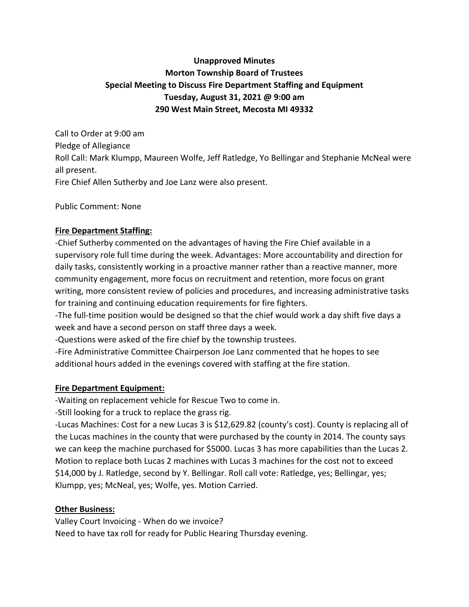## **Unapproved Minutes Morton Township Board of Trustees Special Meeting to Discuss Fire Department Staffing and Equipment Tuesday, August 31, 2021 @ 9:00 am 290 West Main Street, Mecosta MI 49332**

Call to Order at 9:00 am Pledge of Allegiance Roll Call: Mark Klumpp, Maureen Wolfe, Jeff Ratledge, Yo Bellingar and Stephanie McNeal were all present. Fire Chief Allen Sutherby and Joe Lanz were also present.

Public Comment: None

## **Fire Department Staffing:**

-Chief Sutherby commented on the advantages of having the Fire Chief available in a supervisory role full time during the week. Advantages: More accountability and direction for daily tasks, consistently working in a proactive manner rather than a reactive manner, more community engagement, more focus on recruitment and retention, more focus on grant writing, more consistent review of policies and procedures, and increasing administrative tasks for training and continuing education requirements for fire fighters.

-The full-time position would be designed so that the chief would work a day shift five days a week and have a second person on staff three days a week.

-Questions were asked of the fire chief by the township trustees.

-Fire Administrative Committee Chairperson Joe Lanz commented that he hopes to see additional hours added in the evenings covered with staffing at the fire station.

## **Fire Department Equipment:**

-Waiting on replacement vehicle for Rescue Two to come in.

-Still looking for a truck to replace the grass rig.

-Lucas Machines: Cost for a new Lucas 3 is \$12,629.82 (county's cost). County is replacing all of the Lucas machines in the county that were purchased by the county in 2014. The county says we can keep the machine purchased for \$5000. Lucas 3 has more capabilities than the Lucas 2. Motion to replace both Lucas 2 machines with Lucas 3 machines for the cost not to exceed \$14,000 by J. Ratledge, second by Y. Bellingar. Roll call vote: Ratledge, yes; Bellingar, yes; Klumpp, yes; McNeal, yes; Wolfe, yes. Motion Carried.

## **Other Business:**

Valley Court Invoicing - When do we invoice? Need to have tax roll for ready for Public Hearing Thursday evening.